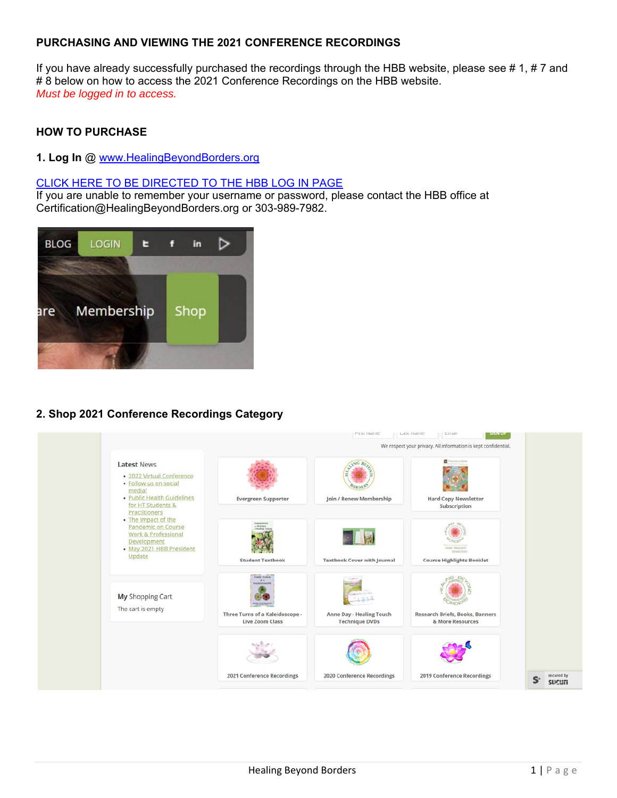# **PURCHASING AND VIEWING THE 2021 CONFERENCE RECORDINGS**

If you have already successfully purchased the recordings through the HBB website, please see #1, #7 and # 8 below on how to access the 2021 Conference Recordings on the HBB website. *Must be logged in to access.*

# **HOW TO PURCHASE**

### **1. Log In** @ www.HealingBeyondBorders.org

## CLICK HERE TO BE DIRECTED TO THE HBB LOG IN PAGE

If you are unable to remember your username or password, please contact the HBB office at Certification@HealingBeyondBorders.org or 303-989-7982.



# **2. Shop 2021 Conference Recordings Category**